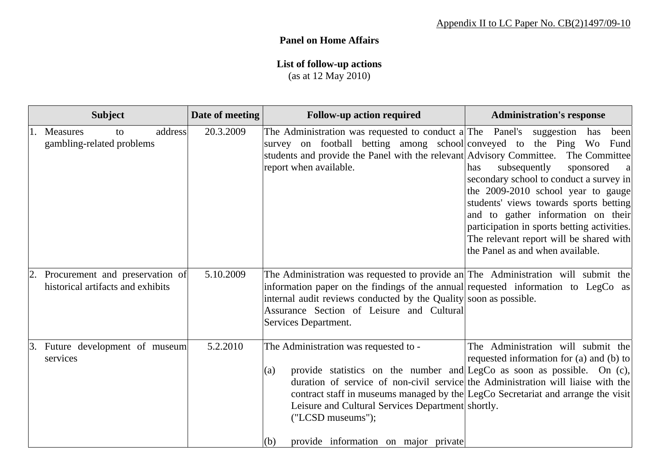## **Panel on Home Affairs**

## **List of follow-up actions**

(as at 12 May 2010)

| <b>Subject</b>                                                       | Date of meeting | <b>Follow-up action required</b>                                                                                                                                                                                                                                                                                                                                                                                         | <b>Administration's response</b>                                                                                                                                                                                                                                                                                                                                |
|----------------------------------------------------------------------|-----------------|--------------------------------------------------------------------------------------------------------------------------------------------------------------------------------------------------------------------------------------------------------------------------------------------------------------------------------------------------------------------------------------------------------------------------|-----------------------------------------------------------------------------------------------------------------------------------------------------------------------------------------------------------------------------------------------------------------------------------------------------------------------------------------------------------------|
| address<br>1. Measures<br>to<br>gambling-related problems            | 20.3.2009       | The Administration was requested to conduct a The Panel's suggestion<br>survey on football betting among school conveyed to the Ping Wo Fund<br>students and provide the Panel with the relevant Advisory Committee.<br>report when available.                                                                                                                                                                           | been<br>has<br>The Committee<br>subsequently<br>sponsored<br>has<br>secondary school to conduct a survey in<br>the 2009-2010 school year to gauge<br>students' views towards sports betting<br>and to gather information on their<br>participation in sports betting activities.<br>The relevant report will be shared with<br>the Panel as and when available. |
| Procurement and preservation of<br>historical artifacts and exhibits | 5.10.2009       | The Administration was requested to provide an The Administration will submit the<br>information paper on the findings of the annual requested information to LegCo as<br>internal audit reviews conducted by the Quality soon as possible.<br>Assurance Section of Leisure and Cultural<br>Services Department.                                                                                                         |                                                                                                                                                                                                                                                                                                                                                                 |
| 3. Future development of museum<br>services                          | 5.2.2010        | The Administration was requested to -<br>provide statistics on the number and LegCo as soon as possible. On (c),<br>(a)<br>duration of service of non-civil service the Administration will liaise with the<br>contract staff in museums managed by the LegCo Secretariat and arrange the visit<br>Leisure and Cultural Services Department shortly.<br>("LCSD museums");<br>(b)<br>provide information on major private | The Administration will submit the<br>requested information for (a) and (b) to                                                                                                                                                                                                                                                                                  |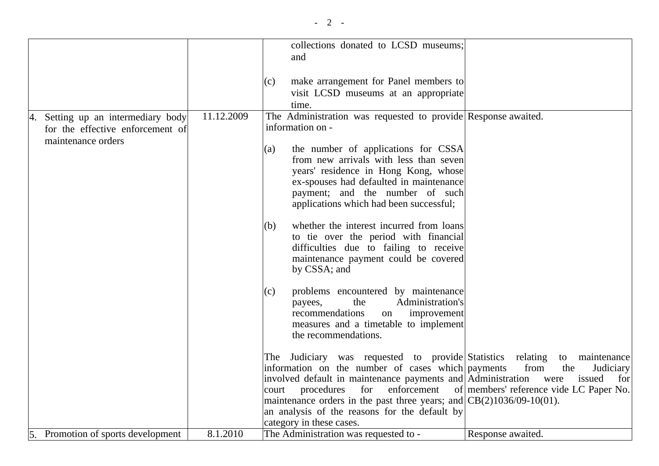|                                    |            | collections donated to LCSD museums;                                            |                                                     |
|------------------------------------|------------|---------------------------------------------------------------------------------|-----------------------------------------------------|
|                                    |            | and                                                                             |                                                     |
|                                    |            |                                                                                 |                                                     |
|                                    |            | make arrangement for Panel members to<br>(c)                                    |                                                     |
|                                    |            |                                                                                 |                                                     |
|                                    |            | visit LCSD museums at an appropriate                                            |                                                     |
|                                    |            | time.                                                                           |                                                     |
| 4. Setting up an intermediary body | 11.12.2009 | The Administration was requested to provide Response awaited.                   |                                                     |
| for the effective enforcement of   |            | information on -                                                                |                                                     |
| maintenance orders                 |            |                                                                                 |                                                     |
|                                    |            | the number of applications for CSSA<br>(a)                                      |                                                     |
|                                    |            | from new arrivals with less than seven                                          |                                                     |
|                                    |            | years' residence in Hong Kong, whose                                            |                                                     |
|                                    |            | ex-spouses had defaulted in maintenance                                         |                                                     |
|                                    |            | payment; and the number of such                                                 |                                                     |
|                                    |            | applications which had been successful;                                         |                                                     |
|                                    |            |                                                                                 |                                                     |
|                                    |            | whether the interest incurred from loans<br>(b)                                 |                                                     |
|                                    |            | to tie over the period with financial<br>difficulties due to failing to receive |                                                     |
|                                    |            |                                                                                 |                                                     |
|                                    |            | maintenance payment could be covered                                            |                                                     |
|                                    |            | by CSSA; and                                                                    |                                                     |
|                                    |            | problems encountered by maintenance<br>(c)                                      |                                                     |
|                                    |            | Administration's<br>the<br>payees,                                              |                                                     |
|                                    |            | recommendations<br>improvement<br>on                                            |                                                     |
|                                    |            | measures and a timetable to implement                                           |                                                     |
|                                    |            | the recommendations.                                                            |                                                     |
|                                    |            |                                                                                 |                                                     |
|                                    |            | The Judiciary was requested to provide Statistics relating                      | to maintenance                                      |
|                                    |            | information on the number of cases which payments                               | from<br>the<br>Judiciary                            |
|                                    |            | involved default in maintenance payments and Administration                     | were<br>issued<br>for                               |
|                                    |            | procedures<br>for<br>court                                                      | enforcement of members' reference vide LC Paper No. |
|                                    |            | maintenance orders in the past three years; and $CB(2)1036/09-10(01)$ .         |                                                     |
|                                    |            | an analysis of the reasons for the default by                                   |                                                     |
|                                    |            | category in these cases.                                                        |                                                     |
| 5. Promotion of sports development | 8.1.2010   | The Administration was requested to -                                           | Response awaited.                                   |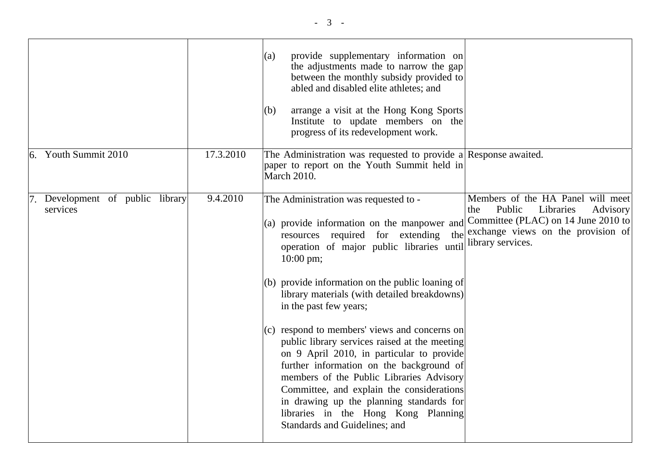|                                           |           | provide supplementary information on<br>(a)<br>the adjustments made to narrow the gap<br>between the monthly subsidy provided to<br>abled and disabled elite athletes; and<br>arrange a visit at the Hong Kong Sports<br>(b)<br>Institute to update members on the<br>progress of its redevelopment work.                                                                                                                                                                                                                                                                                                                                                                                                                                    |                                                                                                                                                                               |
|-------------------------------------------|-----------|----------------------------------------------------------------------------------------------------------------------------------------------------------------------------------------------------------------------------------------------------------------------------------------------------------------------------------------------------------------------------------------------------------------------------------------------------------------------------------------------------------------------------------------------------------------------------------------------------------------------------------------------------------------------------------------------------------------------------------------------|-------------------------------------------------------------------------------------------------------------------------------------------------------------------------------|
| $6.$ Youth Summit 2010                    | 17.3.2010 | The Administration was requested to provide a Response awaited.<br>paper to report on the Youth Summit held in<br><b>March 2010.</b>                                                                                                                                                                                                                                                                                                                                                                                                                                                                                                                                                                                                         |                                                                                                                                                                               |
| Development of public library<br>services | 9.4.2010  | The Administration was requested to -<br>(a) provide information on the manpower and<br>resources required for extending<br>the<br>operation of major public libraries until<br>$10:00 \text{ pm}$ ;<br>$(b)$ provide information on the public loaning of<br>library materials (with detailed breakdowns)<br>in the past few years;<br>(c) respond to members' views and concerns on<br>public library services raised at the meeting<br>on 9 April 2010, in particular to provide<br>further information on the background of<br>members of the Public Libraries Advisory<br>Committee, and explain the considerations<br>in drawing up the planning standards for<br>libraries in the Hong Kong Planning<br>Standards and Guidelines; and | Members of the HA Panel will meet<br>Public<br>Libraries<br>Advisory<br>the<br>Committee (PLAC) on 14 June 2010 to<br>exchange views on the provision of<br>library services. |